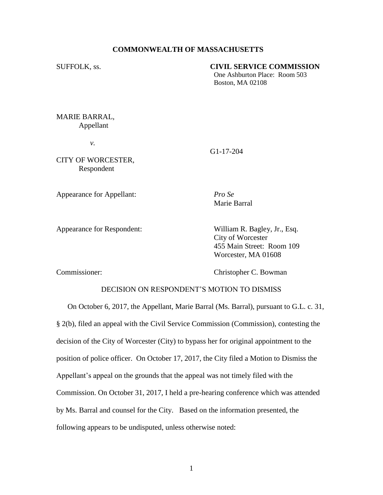## **COMMONWEALTH OF MASSACHUSETTS**

### SUFFOLK, ss. **CIVIL SERVICE COMMISSION**

One Ashburton Place: Room 503 Boston, MA 02108

MARIE BARRAL, Appellant

*v.*

CITY OF WORCESTER, Respondent

G1-17-204

Appearance for Appellant: *Pro Se*

Marie Barral

Appearance for Respondent: William R. Bagley, Jr., Esq. City of Worcester 455 Main Street: Room 109 Worcester, MA 01608

Commissioner: Christopher C. Bowman

## DECISION ON RESPONDENT'S MOTION TO DISMISS

On October 6, 2017, the Appellant, Marie Barral (Ms. Barral), pursuant to G.L. c. 31, § 2(b), filed an appeal with the Civil Service Commission (Commission), contesting the decision of the City of Worcester (City) to bypass her for original appointment to the position of police officer. On October 17, 2017, the City filed a Motion to Dismiss the Appellant's appeal on the grounds that the appeal was not timely filed with the Commission. On October 31, 2017, I held a pre-hearing conference which was attended by Ms. Barral and counsel for the City. Based on the information presented, the following appears to be undisputed, unless otherwise noted: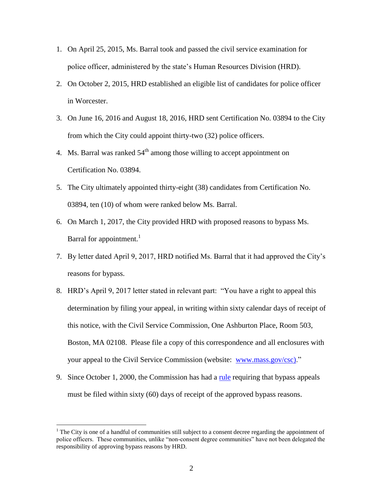- 1. On April 25, 2015, Ms. Barral took and passed the civil service examination for police officer, administered by the state's Human Resources Division (HRD).
- 2. On October 2, 2015, HRD established an eligible list of candidates for police officer in Worcester.
- 3. On June 16, 2016 and August 18, 2016, HRD sent Certification No. 03894 to the City from which the City could appoint thirty-two (32) police officers.
- 4. Ms. Barral was ranked  $54<sup>th</sup>$  among those willing to accept appointment on Certification No. 03894.
- 5. The City ultimately appointed thirty-eight (38) candidates from Certification No. 03894, ten (10) of whom were ranked below Ms. Barral.
- 6. On March 1, 2017, the City provided HRD with proposed reasons to bypass Ms. Barral for appointment.<sup>1</sup>
- 7. By letter dated April 9, 2017, HRD notified Ms. Barral that it had approved the City's reasons for bypass.
- 8. HRD's April 9, 2017 letter stated in relevant part: "You have a right to appeal this determination by filing your appeal, in writing within sixty calendar days of receipt of this notice, with the Civil Service Commission, One Ashburton Place, Room 503, Boston, MA 02108. Please file a copy of this correspondence and all enclosures with your appeal to the Civil Service Commission (website: [www.mass.gov/csc\).](http://www.mass.gov/csc))"
- 9. Since October 1, 2000, the Commission has had a [rule](https://www.mass.gov/files/documents/2017/09/26/bypassrule_1.pdf) requiring that bypass appeals must be filed within sixty (60) days of receipt of the approved bypass reasons.

 $\overline{a}$ 

<sup>&</sup>lt;sup>1</sup> The City is one of a handful of communities still subject to a consent decree regarding the appointment of police officers. These communities, unlike "non-consent degree communities" have not been delegated the responsibility of approving bypass reasons by HRD.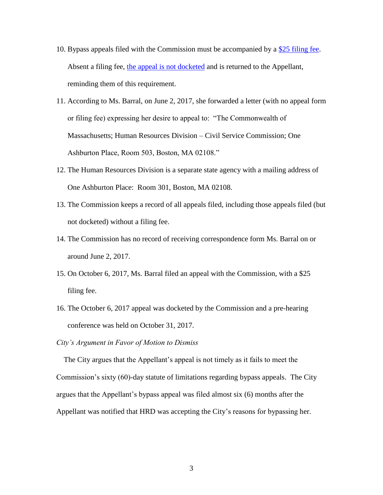- 10. Bypass appeals filed with the Commission must be accompanied by a [\\$25 filing fee.](https://www.mass.gov/how-to/file-an-appeal-with-the-civil-service-commission) Absent a filing fee, [the appeal is not docketed](https://www.mass.gov/files/documents/2017/09/26/Clarification%20of%20Commission%20Policies.pdf) and is returned to the Appellant, reminding them of this requirement.
- 11. According to Ms. Barral, on June 2, 2017, she forwarded a letter (with no appeal form or filing fee) expressing her desire to appeal to: "The Commonwealth of Massachusetts; Human Resources Division – Civil Service Commission; One Ashburton Place, Room 503, Boston, MA 02108."
- 12. The Human Resources Division is a separate state agency with a mailing address of One Ashburton Place: Room 301, Boston, MA 02108.
- 13. The Commission keeps a record of all appeals filed, including those appeals filed (but not docketed) without a filing fee.
- 14. The Commission has no record of receiving correspondence form Ms. Barral on or around June 2, 2017.
- 15. On October 6, 2017, Ms. Barral filed an appeal with the Commission, with a \$25 filing fee.
- 16. The October 6, 2017 appeal was docketed by the Commission and a pre-hearing conference was held on October 31, 2017.

## *City's Argument in Favor of Motion to Dismiss*

 The City argues that the Appellant's appeal is not timely as it fails to meet the Commission's sixty (60)-day statute of limitations regarding bypass appeals. The City argues that the Appellant's bypass appeal was filed almost six (6) months after the Appellant was notified that HRD was accepting the City's reasons for bypassing her.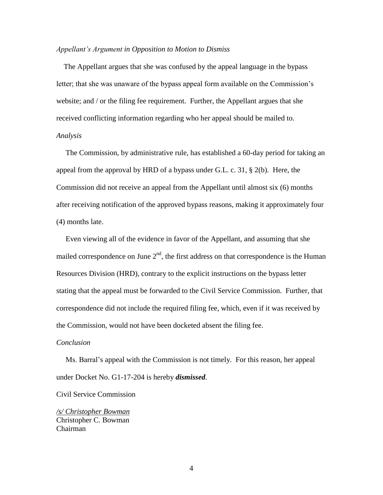#### *Appellant's Argument in Opposition to Motion to Dismiss*

 The Appellant argues that she was confused by the appeal language in the bypass letter; that she was unaware of the bypass appeal form available on the Commission's website; and / or the filing fee requirement. Further, the Appellant argues that she received conflicting information regarding who her appeal should be mailed to. *Analysis*

 The Commission, by administrative rule, has established a 60-day period for taking an appeal from the approval by HRD of a bypass under G.L. c. 31, § 2(b). Here, the Commission did not receive an appeal from the Appellant until almost six (6) months after receiving notification of the approved bypass reasons, making it approximately four (4) months late.

 Even viewing all of the evidence in favor of the Appellant, and assuming that she mailed correspondence on June  $2<sup>nd</sup>$ , the first address on that correspondence is the Human Resources Division (HRD), contrary to the explicit instructions on the bypass letter stating that the appeal must be forwarded to the Civil Service Commission. Further, that correspondence did not include the required filing fee, which, even if it was received by the Commission, would not have been docketed absent the filing fee.

### *Conclusion*

Ms. Barral's appeal with the Commission is not timely. For this reason, her appeal under Docket No. G1-17-204 is hereby *dismissed*.

#### Civil Service Commission

*/s/ Christopher Bowman* Christopher C. Bowman Chairman